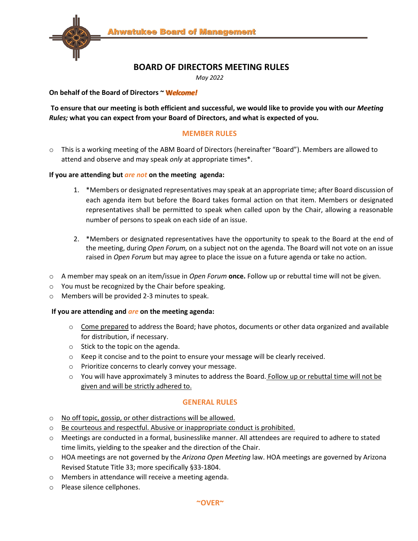

# **BOARD OF DIRECTORS MEETING RULES**

 *May 2022*

**On behalf of the Board of Directors ~** 

**To ensure that our meeting is both efficient and successful, we would like to provide you with our** *Meeting Rules;* **what you can expect from your Board of Directors, and what is expected of you.**

# **MEMBER RULES**

o This is a working meeting of the ABM Board of Directors (hereinafter "Board"). Members are allowed to attend and observe and may speak *only* at appropriate times\*.

# **If you are attending but** *are not* **on the meeting agenda:**

- 1. \*Members or designated representatives may speak at an appropriate time; after Board discussion of each agenda item but before the Board takes formal action on that item. Members or designated representatives shall be permitted to speak when called upon by the Chair, allowing a reasonable number of persons to speak on each side of an issue.
- 2. \*Members or designated representatives have the opportunity to speak to the Board at the end of the meeting, during *Open Forum,* on a subject not on the agenda. The Board will not vote on an issue raised in *Open Forum* but may agree to place the issue on a future agenda or take no action.
- o A member may speak on an item/issue in *Open Forum* **once.** Follow up or rebuttal time will not be given.
- o You must be recognized by the Chair before speaking.
- o Members will be provided 2-3 minutes to speak.

#### **If you are attending and** *are* **on the meeting agenda:**

- o Come prepared to address the Board; have photos, documents or other data organized and available for distribution, if necessary.
- o Stick to the topic on the agenda.
- $\circ$  Keep it concise and to the point to ensure your message will be clearly received.
- o Prioritize concerns to clearly convey your message.
- $\circ$  You will have approximately 3 minutes to address the Board. Follow up or rebuttal time will not be given and will be strictly adhered to.

# **GENERAL RULES**

- o No off topic, gossip, or other distractions will be allowed.
- o Be courteous and respectful. Abusive or inappropriate conduct is prohibited.
- o Meetings are conducted in a formal, businesslike manner. All attendees are required to adhere to stated time limits, yielding to the speaker and the direction of the Chair.
- o HOA meetings are not governed by the *Arizona Open Meeting* law. HOA meetings are governed by Arizona Revised Statute Title 33; more specifically §33-1804.
- o Members in attendance will receive a meeting agenda.
- o Please silence cellphones.